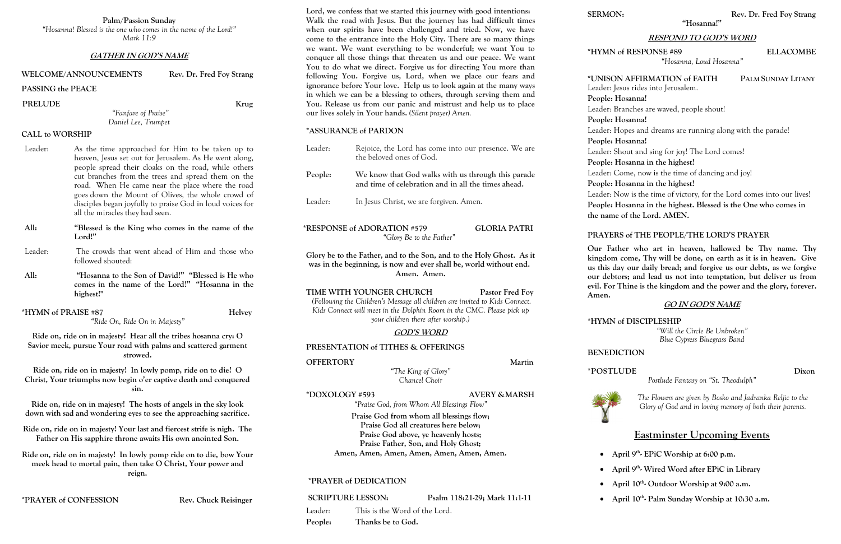**Palm/Passion Sunday**

*"Hosanna! Blessed is the one who comes in the name of the Lord!" Mark 11:9*

### **GATHER IN GOD'S NAME**

### **WELCOME/ANNOUNCEMENTS Rev. Dr. Fred Foy Strang**

## **PASSING the PEACE**

PRELUDE Krug

*"Fanfare of Praise" Daniel Lee, Trumpet*

### **CALL to WORSHIP**

- Leader: As the time approached for Him to be taken up to heaven, Jesus set out for Jerusalem. As He went along, people spread their cloaks on the road, while others cut branches from the trees and spread them on the road. When He came near the place where the road goes down the Mount of Olives, the whole crowd of disciples began joyfully to praise God in loud voices for all the miracles they had seen.
- **All: "Blessed is the King who comes in the name of the Lord!"**
- Leader: The crowds that went ahead of Him and those who followed shouted:
- **All: "Hosanna to the Son of David!" "Blessed is He who comes in the name of the Lord!" "Hosanna in the highest!"**
- **\*HYMN of PRAISE #87 Helvey** *"Ride On, Ride On in Majesty"*

**Ride on, ride on in majesty! Hear all the tribes hosanna cry: O Savior meek, pursue Your road with palms and scattered garment strowed.**

**Ride on, ride on in majesty! In lowly pomp, ride on to die! O Christ, Your triumphs now begin o'er captive death and conquered sin.**

| Leader:                                                                                                                                                                                                                                    | Rejoice, the Lord has come into our presence. We are<br>the beloved ones of God.                                                                                                                             |        |
|--------------------------------------------------------------------------------------------------------------------------------------------------------------------------------------------------------------------------------------------|--------------------------------------------------------------------------------------------------------------------------------------------------------------------------------------------------------------|--------|
| People:                                                                                                                                                                                                                                    | We know that God walks with us through this parade<br>and time of celebration and in all the times ahead.                                                                                                    |        |
| Leader:                                                                                                                                                                                                                                    | In Jesus Christ, we are forgiven. Amen.                                                                                                                                                                      |        |
| *RESPONSE of ADORATION #579<br><b>GLORIA PATRI</b><br>"Glory Be to the Father"                                                                                                                                                             |                                                                                                                                                                                                              |        |
|                                                                                                                                                                                                                                            | Glory be to the Father, and to the Son, and to the Holy Ghost. As it<br>was in the beginning, is now and ever shall be, world without end.<br>Amen. Amen.                                                    |        |
| TIME WITH YOUNGER CHURCH<br>Pastor Fred Foy<br>(Following the Children's Message all children are invited to Kids Connect.<br>Kids Connect will meet in the Dolphin Room in the CMC. Please pick up<br>your children there after worship.) |                                                                                                                                                                                                              |        |
|                                                                                                                                                                                                                                            | <b>GOD'S WORD</b>                                                                                                                                                                                            |        |
|                                                                                                                                                                                                                                            | PRESENTATION of TITHES & OFFERINGS                                                                                                                                                                           |        |
| <b>OFFERTORY</b>                                                                                                                                                                                                                           |                                                                                                                                                                                                              | Martin |
| "The King of Glory"<br>Chancel Choir                                                                                                                                                                                                       |                                                                                                                                                                                                              |        |
| *DOXOLOGY #593<br><b>AVERY &amp; MARSH</b><br>"Praise God, from Whom All Blessings Flow"                                                                                                                                                   |                                                                                                                                                                                                              |        |
|                                                                                                                                                                                                                                            | Praise God from whom all blessings flow;<br>Praise God all creatures here below;<br>Praise God above, ye heavenly hosts;<br>Praise Father, Son, and Holy Ghost;<br>Amen, Amen, Amen, Amen, Amen, Amen, Amen. |        |
|                                                                                                                                                                                                                                            | <i><b>*PRAYER of DEDICATION</b></i>                                                                                                                                                                          |        |
| <b>SCRIPTURE LESSON:</b><br>Psalm 118:21-29; Mark 11:1-11                                                                                                                                                                                  |                                                                                                                                                                                                              |        |
|                                                                                                                                                                                                                                            | This is the Word of the Lord.<br>Leader:                                                                                                                                                                     |        |

**Ride on, ride on in majesty! The hosts of angels in the sky look down with sad and wondering eyes to see the approaching sacrifice.** 

**Ride on, ride on in majesty! Your last and fiercest strife is nigh. The Father on His sapphire throne awaits His own anointed Son.**

**Ride on, ride on in majesty! In lowly pomp ride on to die, bow Your meek head to mortal pain, then take O Christ, Your power and reign.**

## **\*PRAYER of CONFESSION Rev. Chuck Reisinger**

**Lord, we confess that we started this journey with good intentions: Walk the road with Jesus. But the journey has had difficult times when our spirits have been challenged and tried. Now, we have come to the entrance into the Holy City. There are so many things we want. We want everything to be wonderful; we want You to conquer all those things that threaten us and our peace. We want You to do what we direct. Forgive us for directing You more than following You. Forgive us, Lord, when we place our fears and ignorance before Your love. Help us to look again at the many ways in which we can be a blessing to others, through serving them and You. Release us from our panic and mistrust and help us to place our lives solely in Your hands.** *(Silent prayer) Amen.*

### **\*ASSURANCE of PARDON**

**People: Thanks be to God.**

**"Hosanna!"**

# **RESPOND TO GOD'S WORD**

## **\*HYMN of RESPONSE #89 ELLACOMBE**

*"Hosanna, Loud Hosanna"*

# **\*UNISON AFFIRMATION of FAITH PALM SUNDAY LITANY**

Leader: Jesus rides into Jerusalem.

Leader: Branches are waved, people shout!

**People: Hosanna! People: Hosanna! People: Hosanna!**

Leader: Hopes and dreams are running along with the parade!

- Leader: Shout and sing for joy! The Lord comes!
- **People: Hosanna in the highest!**
- Leader: Come, now is the time of dancing and joy!
- **People: Hosanna in the highest!**
- Leader: Now is the time of victory, for the Lord comes into our lives! **People: Hosanna in the highest. Blessed is the One who comes in the name of the Lord. AMEN.**

# **PRAYERS of THE PEOPLE/THE LORD'S PRAYER**

**Our Father who art in heaven, hallowed be Thy name. Thy kingdom come, Thy will be done, on earth as it is in heaven. Give us this day our daily bread; and forgive us our debts, as we forgive our debtors; and lead us not into temptation, but deliver us from evil. For Thine is the kingdom and the power and the glory, forever.** 

**Amen.** 

# **GO IN GOD'S NAME**

# **\*HYMN of DISCIPLESHIP**

*"Will the Circle Be Unbroken" Blue Cypress Bluegrass Band*

**BENEDICTION**

**\*POSTLUDE Dixon**



- 
- 
- 

*Postlude Fantasy on "St. Theodulph"*

*The Flowers are given by Bosko and Jadranka Reljic to the Glory of God and in loving memory of both their parents.*

# **Eastminster Upcoming Events**

- **April 9th - EPiC Worship at 6:00 p.m.**
- **April 9th - Wired Word after EPiC in Library**
- **April 10th - Outdoor Worship at 9:00 a.m.**
- **April 10th - Palm Sunday Worship at 10:30 a.m.**